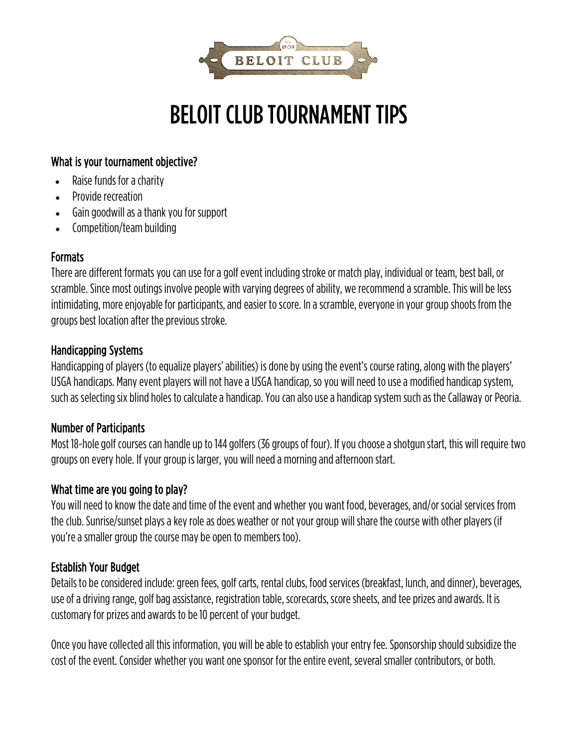

# BELOIT CLUB TOURNAMENT TIPS

#### What is your tournament objective?

- Raise funds for a charity
- Provide recreation
- Gain goodwill as a thank you for support
- Competition/team building

#### **Formats**

There are different formats you can use for a golf event including stroke or match play, individual or team, best ball, or scramble. Since most outings involve people with varying degrees of ability, we recommend a scramble. This will be less intimidating, more enjoyable for participants, and easier to score. In a scramble, everyone in your group shoots from the groups best location after the previous stroke.

#### Handicapping Systems

Handicapping of players (to equalize players' abilities) is done by using the event's course rating, along with the players' USGA handicaps. Manyevent players will not have a USGA handicap, so you will need to use a modified handicap system, such as selecting six blind holes to calculate a handicap. You can also use a handicap system such as the Callaway or Peoria.

#### Number of Participants

Most 18-hole golf courses can handle up to 144 golfers (36 groups of four). If you choose a shotgun start, this will require two groups on every hole. If your group is larger, you will need a morning and afternoon start.

#### What time are you going to play?

You will need to know the date and time of the event and whether you want food, beverages, and/or social services from the club. Sunrise/sunset plays a key role as does weather or not your group will share the course with other players (if you're a smaller group the course may be open to members too).

# Establish Your Budget

Details to be considered include: green fees, golf carts, rental clubs, food services (breakfast, lunch, and dinner), beverages, use of a driving range, golf bag assistance, registration table, scorecards, score sheets, and tee prizes and awards. It is customary for prizes and awards to be 10 percent of your budget.

Once you have collected all this information, you will be able to establish your entry fee. Sponsorship should subsidize the cost of the event. Consider whether you want one sponsor for the entire event, several smaller contributors, or both.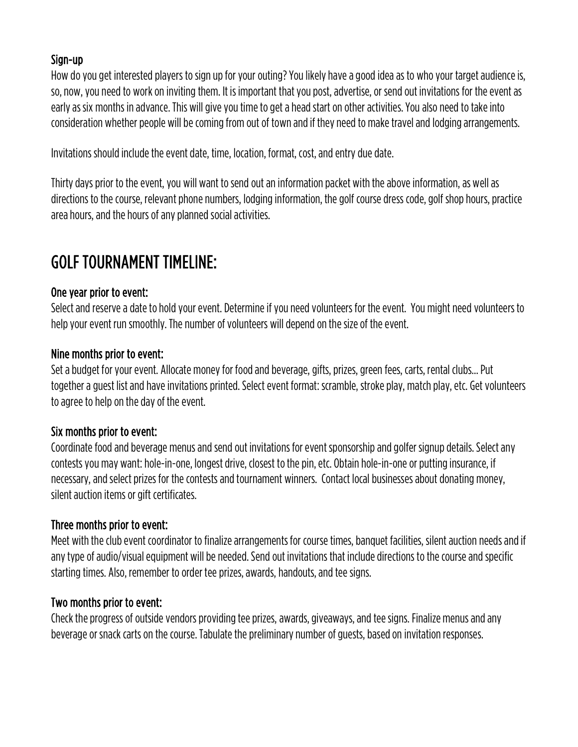# Sign-up

How do you get interested players to sign up for your outing? You likely have a good idea as to who your target audience is, so, now, you need to work on inviting them. It is important that you post, advertise, or send out invitations for the event as early as six months in advance. This will give you time to get a head start on other activities. You also need to take into consideration whether people will be coming from out of town and if they need to make travel and lodging arrangements.

Invitations should include the event date, time, location, format, cost, and entry due date.

Thirty days prior to the event, you will want to send out an information packet with the above information, as well as directions to the course, relevant phone numbers, lodging information, the golf course dress code, golf shop hours, practice area hours, and the hours of any planned social activities.

# GOLF TOURNAMENT TIMELINE:

# One year prior to event:

Select and reserve a date to hold your event. Determine if you need volunteers for the event. You might need volunteers to help your event run smoothly. The number of volunteers will depend on the size of the event.

# Nine months prior to event:

Set a budget for your event. Allocate money for food and beverage, gifts, prizes, green fees, carts, rental clubs... Put together a guest list and have invitations printed. Select event format: scramble, stroke play, match play, etc. Get volunteers to agree to help on the day of the event.

#### Six months prior to event:

Coordinate food and beverage menus and send out invitations for event sponsorship and golfer signup details. Select any contests you may want: hole-in-one, longest drive, closest to the pin, etc. Obtain hole-in-one or putting insurance, if necessary, and select prizes for the contests and tournament winners. Contact local businesses about donating money, silent auction items or gift certificates.

#### Three months prior to event:

Meet with the club event coordinator to finalize arrangements for course times, banquet facilities, silent auction needs and if any type of audio/visual equipment will be needed. Send out invitations that include directions to the course and specific starting times. Also, remember to order tee prizes, awards, handouts, and tee signs.

#### Two months prior to event:

Check the progress of outside vendors providing tee prizes, awards, giveaways, and tee signs. Finalize menus and any beverage or snack carts on the course. Tabulate the preliminary number of guests, based on invitation responses.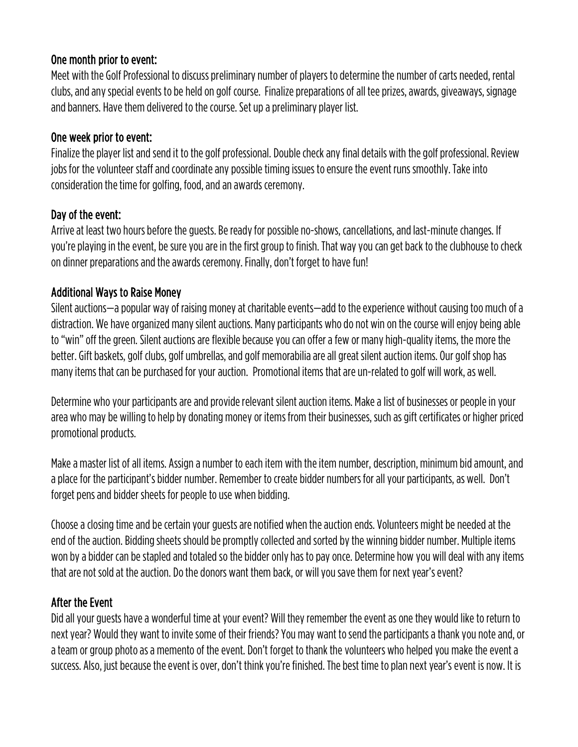#### One month prior to event:

Meet with the Golf Professional to discuss preliminary number of players to determine the number of carts needed, rental clubs, and any special events to be held on golf course. Finalize preparations of all tee prizes, awards, giveaways, signage and banners. Have them delivered to the course. Set up a preliminary player list.

#### One week prior to event:

Finalize the player list and send it to the golf professional. Double check any final details with the golf professional. Review jobs for the volunteer staff and coordinate any possible timing issues to ensure the event runs smoothly. Take into consideration the time for golfing, food, and an awards ceremony.

#### Day of the event:

Arrive at least two hours before the guests. Be ready for possible no-shows, cancellations, and last-minute changes. If you're playing in the event, be sure you are in the first group to finish. That way you can get back to the clubhouse to check on dinner preparations and the awards ceremony. Finally, don't forget to have fun!

# Additional Ways to Raise Money

Silent auctions—a popular way of raising money at charitable events—add to the experience without causing too much of a distraction. We have organized many silent auctions. Many participants who do not win on the course will enjoy being able to "win" off the green. Silent auctions are flexible because you can offer a few or many high-quality items, the more the better. Gift baskets, golf clubs, golf umbrellas, and golf memorabilia are all great silent auction items. Our golf shop has many items that can be purchased for your auction. Promotional items that are un-related to golf will work, as well.

Determine who your participants are and provide relevant silent auction items. Make a list of businesses or people in your area who may be willing to help by donating money or items from their businesses, such as gift certificates or higher priced promotional products.

Make a master list of all items. Assign a number to each item with the item number, description, minimum bid amount, and a place for the participant's bidder number. Remember to create bidder numbers for all your participants, as well. Don't forget pens and bidder sheets for people to use when bidding.

Choose a closing time and be certain your guests are notified when the auction ends. Volunteers might be needed at the end of the auction. Bidding sheets should be promptly collected and sorted by the winning bidder number. Multiple items won by a bidder can be stapled and totaled so the bidder only has to pay once. Determine how you will deal with any items that are not sold at the auction. Do the donors want them back, or will you save them for next year's event?

# After the Event

Did all your guests have a wonderful time at your event? Will they remember the event as one they would like to return to next year? Would they want to invite some of their friends? You may want to send the participants a thank you note and, or a team or group photo as a memento of the event. Don't forget to thank the volunteers who helped you make the event a success. Also, just because the event is over, don't think you're finished. The best time to plan next year's event is now. It is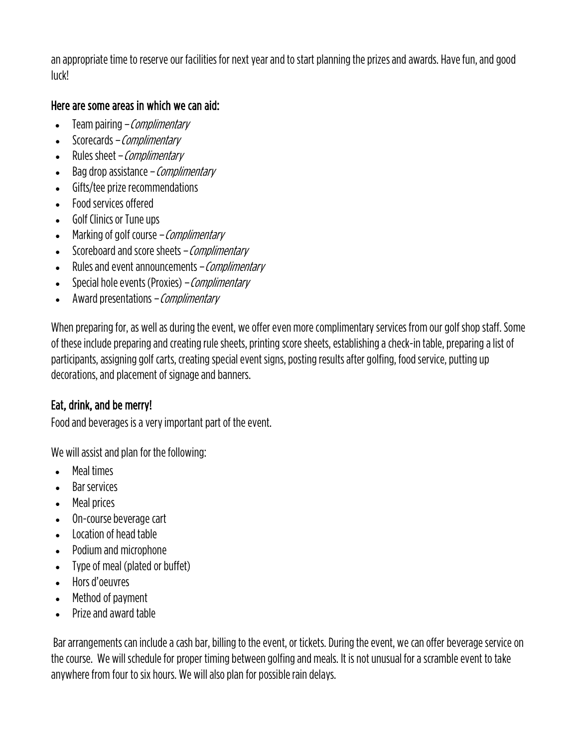an appropriate time to reserve our facilities for next year and to start planning the prizes and awards. Have fun, and good luck!

#### Here are some areas in which we can aid:

- $\bullet$  Team pairing *Complimentary*
- Scorecards Complimentary
- Rules sheet *Complimentary*
- Bag drop assistance *Complimentary*
- Gifts/tee prize recommendations
- Food services offered
- Golf Clinics or Tune ups
- Marking of golf course *Complimentary*
- Scoreboard and score sheets Complimentary
- Rules and event announcements Complimentary
- Special hole events (Proxies) *Complimentary*
- Award presentations Complimentary

When preparing for, as well as during the event, we offer even more complimentary services from our golf shop staff. Some of these include preparing and creating rule sheets, printing scoresheets, establishing a check-in table, preparing a list of participants, assigning golf carts, creating special event signs, posting results after golfing, food service, putting up decorations, and placement of signage and banners.

#### Eat, drink, and be merry!

Food and beverages is a very important part of the event.

We will assist and plan for the following:

- Meal times
- Bar services
- Meal prices
- On-course beverage cart
- Location of head table
- Podium and microphone
- Type of meal (plated or buffet)
- Hors d'oeuvres
- Method of payment
- Prize and award table

Bar arrangements can include a cash bar, billing to the event, or tickets. During the event, we can offer beverage service on the course. We will schedule for proper timing between golfing and meals. It is not unusual for a scramble event to take anywhere from four to six hours. We will also plan for possible rain delays.